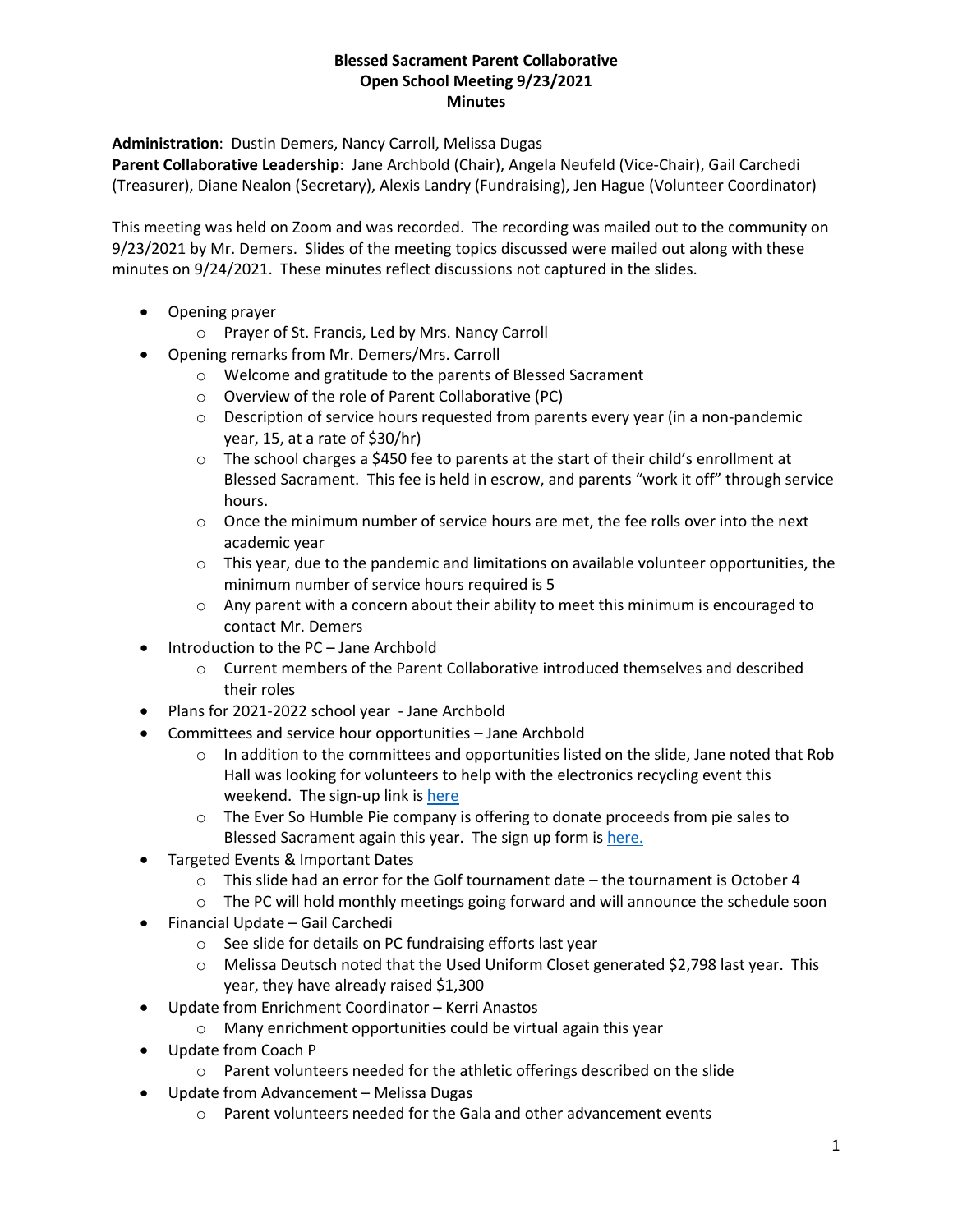## **Blessed Sacrament Parent Collaborative Open School Meeting 9/23/2021 Minutes**

**Administration**: Dustin Demers, Nancy Carroll, Melissa Dugas

**Parent Collaborative Leadership**: Jane Archbold (Chair), Angela Neufeld (Vice-Chair), Gail Carchedi (Treasurer), Diane Nealon (Secretary), Alexis Landry (Fundraising), Jen Hague (Volunteer Coordinator)

This meeting was held on Zoom and was recorded. The recording was mailed out to the community on 9/23/2021 by Mr. Demers. Slides of the meeting topics discussed were mailed out along with these minutes on 9/24/2021. These minutes reflect discussions not captured in the slides.

- Opening prayer
	- o Prayer of St. Francis, Led by Mrs. Nancy Carroll
- Opening remarks from Mr. Demers/Mrs. Carroll
	- o Welcome and gratitude to the parents of Blessed Sacrament
	- o Overview of the role of Parent Collaborative (PC)
	- $\circ$  Description of service hours requested from parents every year (in a non-pandemic year, 15, at a rate of \$30/hr)
	- $\circ$  The school charges a \$450 fee to parents at the start of their child's enrollment at Blessed Sacrament. This fee is held in escrow, and parents "work it off" through service hours.
	- $\circ$  Once the minimum number of service hours are met, the fee rolls over into the next academic year
	- $\circ$  This year, due to the pandemic and limitations on available volunteer opportunities, the minimum number of service hours required is 5
	- $\circ$  Any parent with a concern about their ability to meet this minimum is encouraged to contact Mr. Demers
- Introduction to the PC Jane Archbold
	- o Current members of the Parent Collaborative introduced themselves and described their roles
- Plans for 2021-2022 school year Jane Archbold
- Committees and service hour opportunities Jane Archbold
	- $\circ$  In addition to the committees and opportunities listed on the slide, Jane noted that Rob Hall was looking for volunteers to help with the electronics recycling event this weekend. The sign-up link is here
	- $\circ$  The Ever So Humble Pie company is offering to donate proceeds from pie sales to Blessed Sacrament again this year. The sign up form is here.
- Targeted Events & Important Dates
	- $\circ$  This slide had an error for the Golf tournament date the tournament is October 4
	- $\circ$  The PC will hold monthly meetings going forward and will announce the schedule soon
- Financial Update Gail Carchedi
	- o See slide for details on PC fundraising efforts last year
	- o Melissa Deutsch noted that the Used Uniform Closet generated \$2,798 last year. This year, they have already raised \$1,300
- Update from Enrichment Coordinator Kerri Anastos
	- o Many enrichment opportunities could be virtual again this year
- Update from Coach P
	- o Parent volunteers needed for the athletic offerings described on the slide
- Update from Advancement Melissa Dugas
	- $\circ$  Parent volunteers needed for the Gala and other advancement events